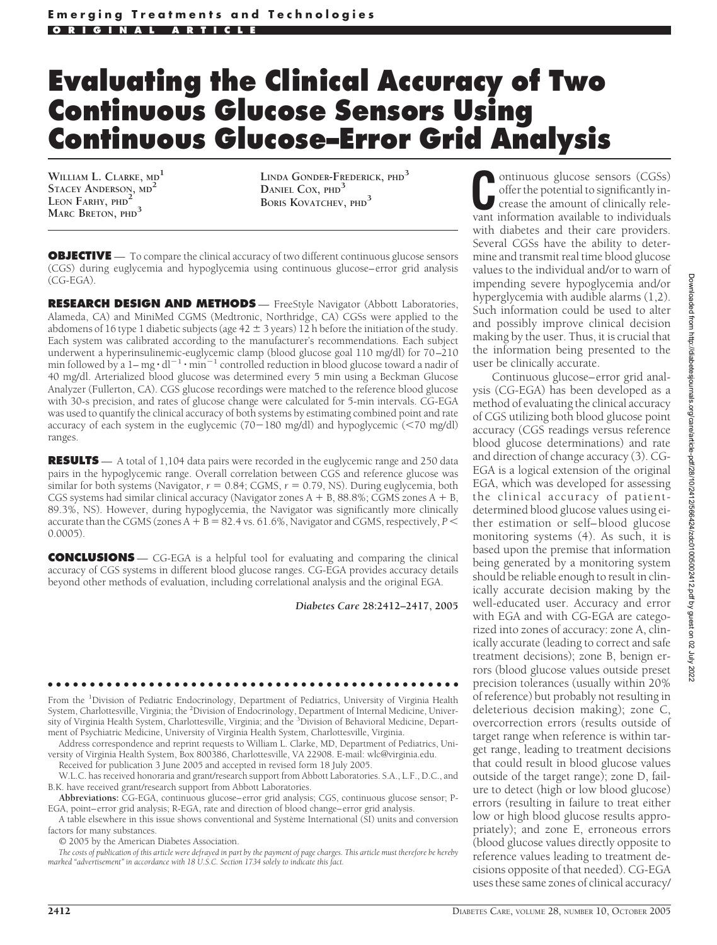## **Evaluating the Clinical Accuracy of Two Continuous Glucose Sensors Using Continuous Glucose–Error Grid Analysis**

**WILLIAM L. CLARKE, MD<sup>1</sup> STACEY ANDERSON, MD<sup>2</sup> LEON FARHY, PHD<sup>2</sup> MARC BRETON, PHD<sup>3</sup>**

**LINDA GONDER-FREDERICK, PHD<sup>3</sup> DANIEL COX, PHD<sup>3</sup> BORIS KOVATCHEV, PHD<sup>3</sup>**

**OBJECTIVE** — To compare the clinical accuracy of two different continuous glucose sensors (CGS) during euglycemia and hypoglycemia using continuous glucose–error grid analysis (CG-EGA).

**RESEARCH DESIGN AND METHODS** - FreeStyle Navigator (Abbott Laboratories, Alameda, CA) and MiniMed CGMS (Medtronic, Northridge, CA) CGSs were applied to the abdomens of 16 type 1 diabetic subjects (age  $42 \pm 3$  years) 12 h before the initiation of the study. Each system was calibrated according to the manufacturer's recommendations. Each subject underwent a hyperinsulinemic-euglycemic clamp (blood glucose goal 110 mg/dl) for 70–210 min followed by a  $1 - mg \cdot dl^{-1} \cdot min^{-1}$  controlled reduction in blood glucose toward a nadir of 40 mg/dl. Arterialized blood glucose was determined every 5 min using a Beckman Glucose Analyzer (Fullerton, CA). CGS glucose recordings were matched to the reference blood glucose with 30-s precision, and rates of glucose change were calculated for 5-min intervals. CG-EGA was used to quantify the clinical accuracy of both systems by estimating combined point and rate accuracy of each system in the euglycemic (70-180 mg/dl) and hypoglycemic (70 mg/dl) ranges.

**RESULTS** — A total of 1,104 data pairs were recorded in the euglycemic range and 250 data pairs in the hypoglycemic range. Overall correlation between CGS and reference glucose was similar for both systems (Navigator,  $r = 0.84$ ; CGMS,  $r = 0.79$ , NS). During euglycemia, both CGS systems had similar clinical accuracy (Navigator zones  $A + B$ , 88.8%; CGMS zones  $A + B$ , 89.3%, NS). However, during hypoglycemia, the Navigator was significantly more clinically accurate than the CGMS (zones  $A + B = 82.4$  vs. 61.6%, Navigator and CGMS, respectively,  $P \leq$ 0.0005).

**CONCLUSIONS** — CG-EGA is a helpful tool for evaluating and comparing the clinical accuracy of CGS systems in different blood glucose ranges. CG-EGA provides accuracy details beyond other methods of evaluation, including correlational analysis and the original EGA.

*Diabetes Care* **28:2412–2417, 2005**

●●●●●●●●●●●●●●●●●●●●●●●●●●●●●●●●●●●●●●●●●●●●●●●●● From the <sup>1</sup>Division of Pediatric Endocrinology, Department of Pediatrics, University of Virginia Health System, Charlottesville, Virginia; the <sup>2</sup>Division of Endocrinology, Department of Internal Medicine, Univer-<br>sity of Virginia Health System, Charlottesville, Virginia; and the <sup>3</sup>Division of Behavioral Medicine, Depart-

ment of Psychiatric Medicine, University of Virginia Health System, Charlottesville, Virginia. Address correspondence and reprint requests to William L. Clarke, MD, Department of Pediatrics, University of Virginia Health System, Box 800386, Charlottesville, VA 22908. E-mail: wlc@virginia.edu.

Received for publication 3 June 2005 and accepted in revised form 18 July 2005.

W.L.C. has received honoraria and grant/research support from Abbott Laboratories. S.A., L.F., D.C., and B.K. have received grant/research support from Abbott Laboratories.

**Abbreviations:** CG-EGA, continuous glucose–error grid analysis; CGS, continuous glucose sensor; P-EGA, point–error grid analysis; R-EGA, rate and direction of blood change–error grid analysis.

A table elsewhere in this issue shows conventional and Système International (SI) units and conversion factors for many substances.

© 2005 by the American Diabetes Association.

*The costs of publication of this article were defrayed in part by the payment of page charges. This article must therefore be hereby marked "advertisement" in accordance with 18 U.S.C. Section 1734 solely to indicate this fact.*

ontinuous glucose sensors (CGSs) offer the potential to significantly increase the amount of clinically relevant information available to individuals with diabetes and their care providers. Several CGSs have the ability to determine and transmit real time blood glucose values to the individual and/or to warn of impending severe hypoglycemia and/or hyperglycemia with audible alarms (1,2). Such information could be used to alter and possibly improve clinical decision making by the user. Thus, it is crucial that the information being presented to the user be clinically accurate.

Continuous glucose–error grid analysis (CG-EGA) has been developed as a method of evaluating the clinical accuracy of CGS utilizing both blood glucose point accuracy (CGS readings versus reference blood glucose determinations) and rate and direction of change accuracy (3). CG-EGA is a logical extension of the original EGA, which was developed for assessing the clinical accuracy of patientdetermined blood glucose values using either estimation or self–blood glucose monitoring systems (4). As such, it is based upon the premise that information being generated by a monitoring system should be reliable enough to result in clinically accurate decision making by the well-educated user. Accuracy and error with EGA and with CG-EGA are categorized into zones of accuracy: zone A, clinically accurate (leading to correct and safe treatment decisions); zone B, benign errors (blood glucose values outside preset precision tolerances (usually within 20% of reference) but probably not resulting in deleterious decision making); zone C, overcorrection errors (results outside of target range when reference is within target range, leading to treatment decisions that could result in blood glucose values outside of the target range); zone D, failure to detect (high or low blood glucose) errors (resulting in failure to treat either low or high blood glucose results appropriately); and zone E, erroneous errors (blood glucose values directly opposite to reference values leading to treatment decisions opposite of that needed). CG-EGA uses these same zones of clinical accuracy/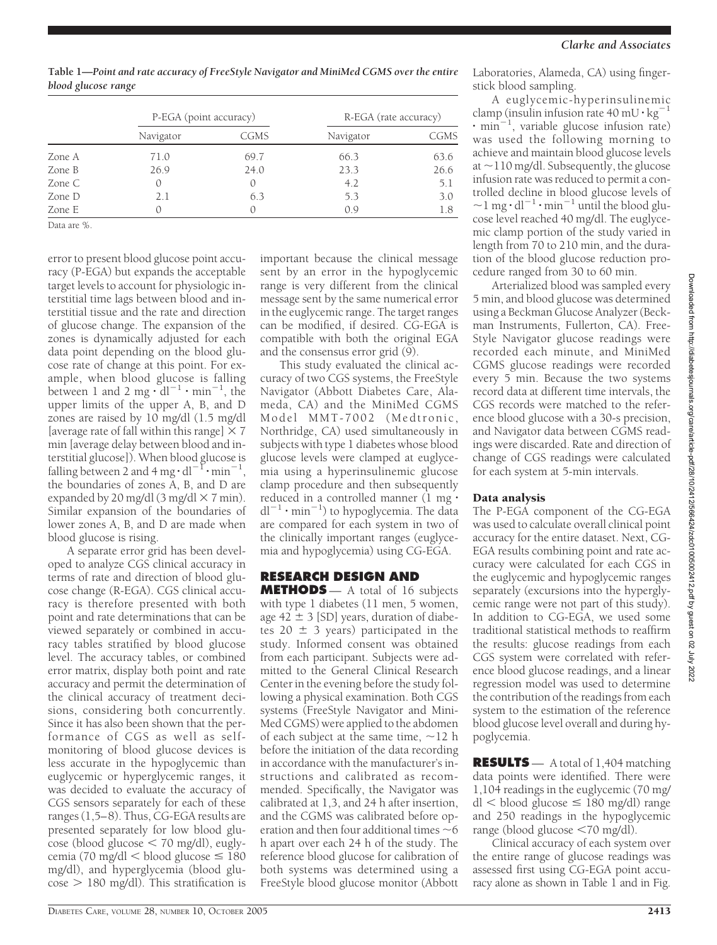Laboratories, Alameda, CA) using fingerstick blood sampling.

A euglycemic-hyperinsulinemic clamp (insulin infusion rate  $40 \text{ mU} \cdot \text{kg}^{-1}$ 1  $\cdot$  min<sup>-1</sup>, variable glucose infusion rate) was used the following morning to achieve and maintain blood glucose levels at  $\sim$ 110 mg/dl. Subsequently, the glucose infusion rate was reduced to permit a controlled decline in blood glucose levels of  $\sim$  l mg  $\cdot$  dl<sup>-1</sup>  $\cdot$  min<sup>-1</sup> until the blood glucose level reached 40 mg/dl. The euglycemic clamp portion of the study varied in length from 70 to 210 min, and the duration of the blood glucose reduction procedure ranged from 30 to 60 min.

Arterialized blood was sampled every 5 min, and blood glucose was determined using a Beckman Glucose Analyzer (Beckman Instruments, Fullerton, CA). Free-Style Navigator glucose readings were recorded each minute, and MiniMed CGMS glucose readings were recorded every 5 min. Because the two systems record data at different time intervals, the CGS records were matched to the reference blood glucose with a 30-s precision, and Navigator data between CGMS readings were discarded. Rate and direction of change of CGS readings were calculated for each system at 5-min intervals.

## Data analysis

The P-EGA component of the CG-EGA was used to calculate overall clinical point accuracy for the entire dataset. Next, CG-EGA results combining point and rate accuracy were calculated for each CGS in the euglycemic and hypoglycemic ranges separately (excursions into the hyperglycemic range were not part of this study). In addition to CG-EGA, we used some traditional statistical methods to reaffirm the results: glucose readings from each CGS system were correlated with reference blood glucose readings, and a linear regression model was used to determine the contribution of the readings from each system to the estimation of the reference blood glucose level overall and during hypoglycemia.

**RESULTS** — A total of 1,404 matching data points were identified. There were 1,104 readings in the euglycemic (70 mg/  $dl$  < blood glucose  $\leq$  180 mg/dl) range and 250 readings in the hypoglycemic range (blood glucose <70 mg/dl).

Clinical accuracy of each system over the entire range of glucose readings was assessed first using CG-EGA point accuracy alone as shown in Table 1 and in Fig.

**Table 1—***Point and rate accuracy of FreeStyle Navigator and MiniMed CGMS over the entire blood glucose range*

|        | P-EGA (point accuracy) |      | R-EGA (rate accuracy) |      |
|--------|------------------------|------|-----------------------|------|
|        | Navigator              | CGMS | Navigator             | CGMS |
| Zone A | 71.0                   | 69.7 | 66.3                  | 63.6 |
| Zone B | 26.9                   | 24.0 | 23.3                  | 26.6 |
| Zone C |                        |      | 4.2                   | 5.1  |
| Zone D | 2.1                    | 6.3  | 5.3                   | 3.0  |
| Zone E |                        |      | 0.9                   | 1.8  |

Data are %.

error to present blood glucose point accuracy (P-EGA) but expands the acceptable target levels to account for physiologic interstitial time lags between blood and interstitial tissue and the rate and direction of glucose change. The expansion of the zones is dynamically adjusted for each data point depending on the blood glucose rate of change at this point. For example, when blood glucose is falling between 1 and 2 mg  $\cdot$  dl<sup>-1</sup>  $\cdot$  min<sup>-1</sup>, the upper limits of the upper A, B, and D zones are raised by 10 mg/dl (1.5 mg/dl [average rate of fall within this range]  $\times$  7 min [average delay between blood and interstitial glucose]). When blood glucose is falling between 2 and 4 mg  $\cdot$  dl<sup>-1</sup> $\cdot$  min<sup>-1</sup>, the boundaries of zones A, B, and D are expanded by 20 mg/dl  $(3 \text{ mg/dl} \times 7 \text{ min})$ . Similar expansion of the boundaries of lower zones A, B, and D are made when blood glucose is rising.

A separate error grid has been developed to analyze CGS clinical accuracy in terms of rate and direction of blood glucose change (R-EGA). CGS clinical accuracy is therefore presented with both point and rate determinations that can be viewed separately or combined in accuracy tables stratified by blood glucose level. The accuracy tables, or combined error matrix, display both point and rate accuracy and permit the determination of the clinical accuracy of treatment decisions, considering both concurrently. Since it has also been shown that the performance of CGS as well as selfmonitoring of blood glucose devices is less accurate in the hypoglycemic than euglycemic or hyperglycemic ranges, it was decided to evaluate the accuracy of CGS sensors separately for each of these ranges (1,5–8). Thus, CG-EGA results are presented separately for low blood glu- $\csc$  (blood glucose  $\leq$  70 mg/dl), euglycemia (70 mg/dl  $\lt$  blood glucose  $\leq 180$ mg/dl), and hyperglycemia (blood glu- $\cos$  > 180 mg/dl). This stratification is

range is very different from the clinical message sent by the same numerical error in the euglycemic range. The target ranges can be modified, if desired. CG-EGA is compatible with both the original EGA and the consensus error grid (9). This study evaluated the clinical accuracy of two CGS systems, the FreeStyle Navigator (Abbott Diabetes Care, Alameda, CA) and the MiniMed CGMS Model MMT-7002 (Medtronic, Northridge, CA) used simultaneously in subjects with type 1 diabetes whose blood glucose levels were clamped at euglycemia using a hyperinsulinemic glucose clamp procedure and then subsequently reduced in a controlled manner  $(1 \text{ mg} \cdot$  $dl^{-1} \cdot min^{-1}$ ) to hypoglycemia. The data are compared for each system in two of the clinically important ranges (euglycemia and hypoglycemia) using CG-EGA. **RESEARCH DESIGN AND METHODS** — A total of 16 subjects

important because the clinical message sent by an error in the hypoglycemic

with type 1 diabetes (11 men, 5 women, age  $42 \pm 3$  [SD] years, duration of diabetes 20  $\pm$  3 years) participated in the study. Informed consent was obtained from each participant. Subjects were admitted to the General Clinical Research Center in the evening before the study following a physical examination. Both CGS systems (FreeStyle Navigator and Mini-Med CGMS) were applied to the abdomen of each subject at the same time,  $\sim$ 12 h before the initiation of the data recording in accordance with the manufacturer's instructions and calibrated as recommended. Specifically, the Navigator was calibrated at 1,3, and 24 h after insertion, and the CGMS was calibrated before operation and then four additional times  $\sim$  6 h apart over each 24 h of the study. The reference blood glucose for calibration of both systems was determined using a FreeStyle blood glucose monitor (Abbott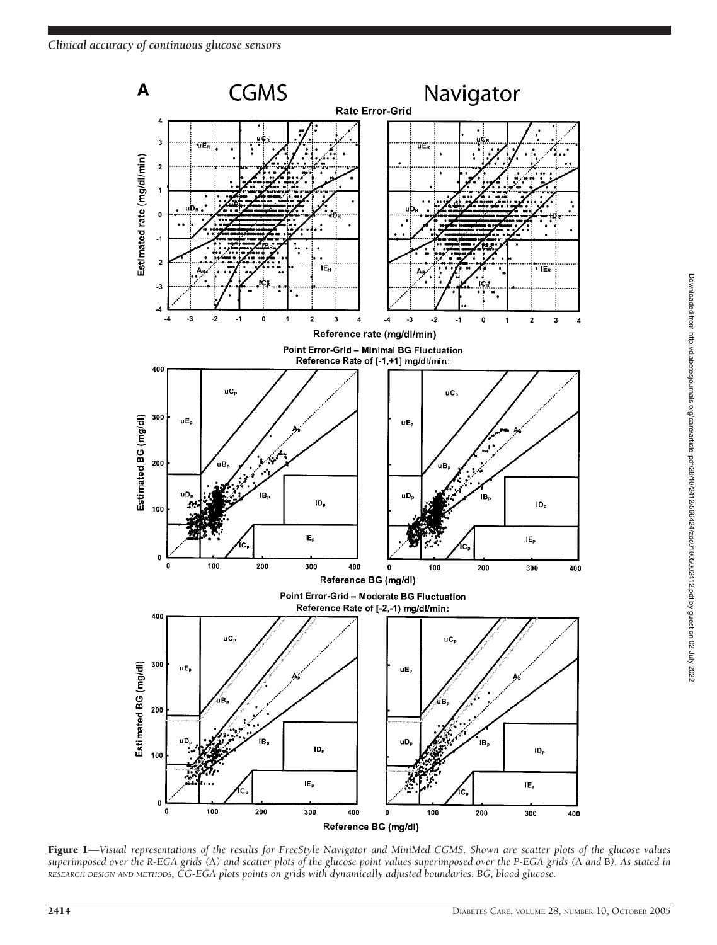

Figure 1—*Visual representations of the results for FreeStyle Navigator and MiniMed CGMS. Shown are scatter plots of the glucose values superimposed over the R-EGA grids (*A*) and scatter plots of the glucose point values superimposed over the P-EGA grids (*A *and* B*). As stated in RESEARCH DESIGN AND METHODS, CG-EGA plots points on grids with dynamically adjusted boundaries. BG, blood glucose.*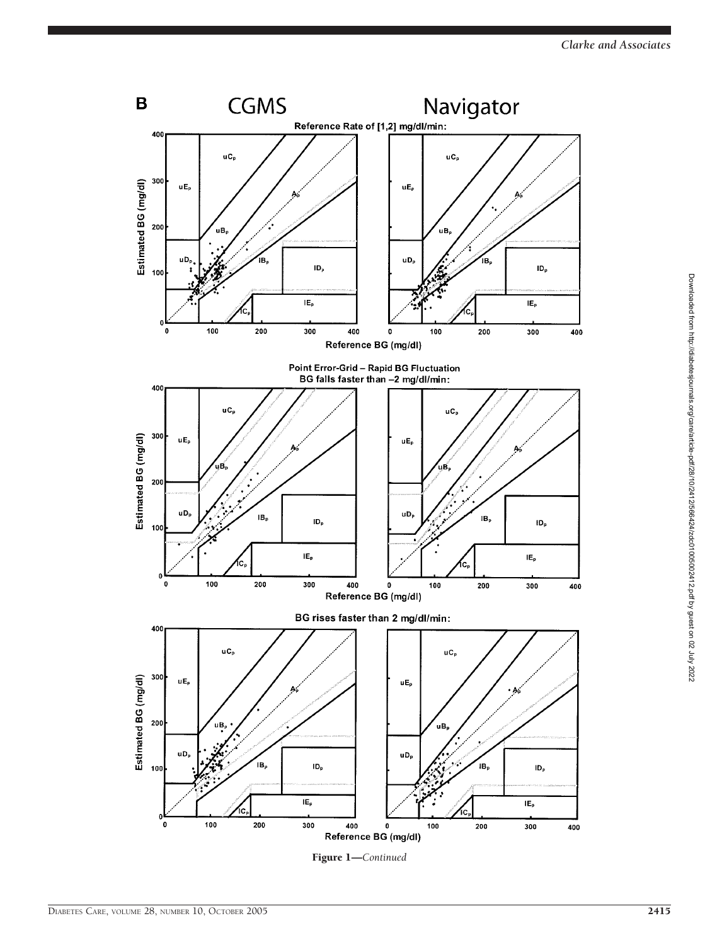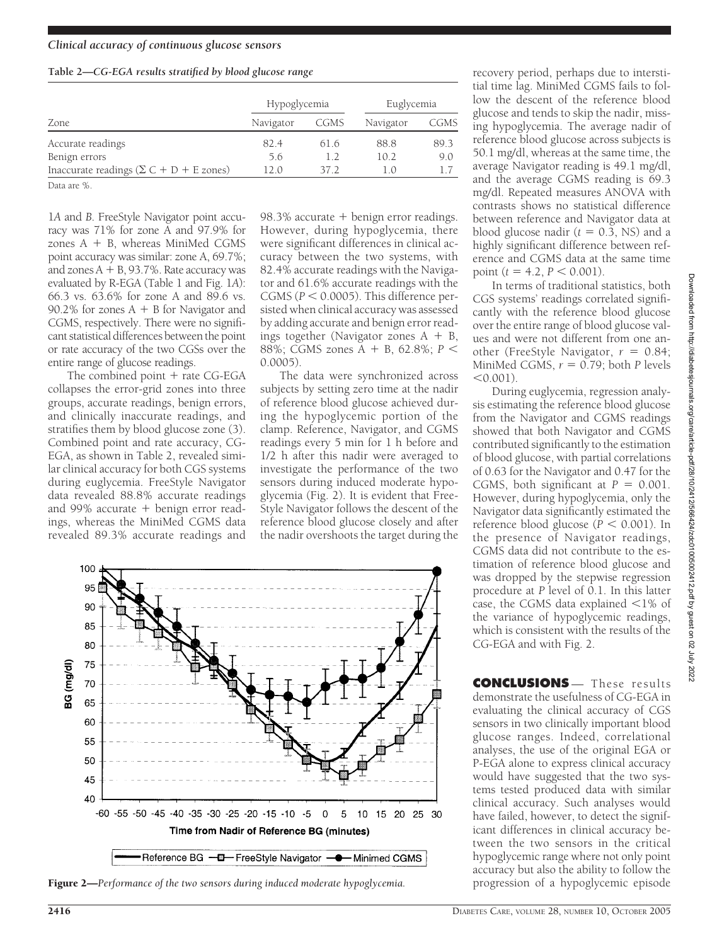## **Table 2—***CG-EGA results stratified by blood glucose range*

|                                                        | Hypoglycemia |      | Euglycemia |      |
|--------------------------------------------------------|--------------|------|------------|------|
| Zone                                                   | Navigator    | CGMS | Navigator  | CGMS |
| Accurate readings                                      | 82.4         | 61.6 | 88.8       | 89.3 |
| Benign errors                                          | 5.6          | 1.2  | 10.2       | 9.0  |
| Inaccurate readings $(\Sigma C + D + E \text{ zones})$ | 12 O         | 37 2 | $\pm$ . () |      |

Data are %.

1*A* and *B*. FreeStyle Navigator point accuracy was 71% for zone A and 97.9% for zones  $A + B$ , whereas MiniMed CGMS point accuracy was similar: zone A, 69.7%; and zones  $A + B$ , 93.7%. Rate accuracy was evaluated by R-EGA (Table 1 and Fig. 1*A*): 66.3 vs. 63.6% for zone A and 89.6 vs. 90.2% for zones  $A + B$  for Navigator and CGMS, respectively. There were no significant statistical differences between the point or rate accuracy of the two CGSs over the entire range of glucose readings.

The combined point  $+$  rate CG-EGA collapses the error-grid zones into three groups, accurate readings, benign errors, and clinically inaccurate readings, and stratifies them by blood glucose zone (3). Combined point and rate accuracy, CG-EGA, as shown in Table 2, revealed similar clinical accuracy for both CGS systems during euglycemia. FreeStyle Navigator data revealed 88.8% accurate readings and 99% accurate  $+$  benign error readings, whereas the MiniMed CGMS data revealed 89.3% accurate readings and

 $98.3\%$  accurate  $+$  benign error readings. However, during hypoglycemia, there were significant differences in clinical accuracy between the two systems, with 82.4% accurate readings with the Navigator and 61.6% accurate readings with the CGMS ( $P < 0.0005$ ). This difference persisted when clinical accuracy was assessed by adding accurate and benign error readings together (Navigator zones  $A + B$ , 88%; CGMS zones A + B, 62.8%; *P* < 0.0005).

The data were synchronized across subjects by setting zero time at the nadir of reference blood glucose achieved during the hypoglycemic portion of the clamp. Reference, Navigator, and CGMS readings every 5 min for 1 h before and 1/2 h after this nadir were averaged to investigate the performance of the two sensors during induced moderate hypoglycemia (Fig. 2). It is evident that Free-Style Navigator follows the descent of the reference blood glucose closely and after the nadir overshoots the target during the



Figure 2—*Performance of the two sensors during induced moderate hypoglycemia*. progression of a hypoglycemic episode

recovery period, perhaps due to interstitial time lag. MiniMed CGMS fails to follow the descent of the reference blood glucose and tends to skip the nadir, missing hypoglycemia. The average nadir of reference blood glucose across subjects is 50.1 mg/dl, whereas at the same time, the average Navigator reading is 49.1 mg/dl, and the average CGMS reading is 69.3 mg/dl. Repeated measures ANOVA with contrasts shows no statistical difference between reference and Navigator data at blood glucose nadir  $(t = 0.3, \text{ NS})$  and a highly significant difference between reference and CGMS data at the same time point  $(t = 4.2, P < 0.001)$ .

In terms of traditional statistics, both CGS systems' readings correlated significantly with the reference blood glucose over the entire range of blood glucose values and were not different from one another (FreeStyle Navigator,  $r = 0.84$ ; MiniMed CGMS,  $r = 0.79$ ; both *P* levels  $< 0.001$ ).

During euglycemia, regression analysis estimating the reference blood glucose from the Navigator and CGMS readings showed that both Navigator and CGMS contributed significantly to the estimation of blood glucose, with partial correlations of 0.63 for the Navigator and 0.47 for the CGMS, both significant at  $P = 0.001$ . However, during hypoglycemia, only the Navigator data significantly estimated the reference blood glucose ( $P < 0.001$ ). In the presence of Navigator readings, CGMS data did not contribute to the estimation of reference blood glucose and was dropped by the stepwise regression procedure at *P* level of 0.1. In this latter case, the CGMS data explained  $\leq$ 1% of the variance of hypoglycemic readings, which is consistent with the results of the CG-EGA and with Fig. 2.

**CONCLUSIONS** — These results demonstrate the usefulness of CG-EGA in evaluating the clinical accuracy of CGS sensors in two clinically important blood glucose ranges. Indeed, correlational analyses, the use of the original EGA or P-EGA alone to express clinical accuracy would have suggested that the two systems tested produced data with similar clinical accuracy. Such analyses would have failed, however, to detect the significant differences in clinical accuracy between the two sensors in the critical hypoglycemic range where not only point accuracy but also the ability to follow the